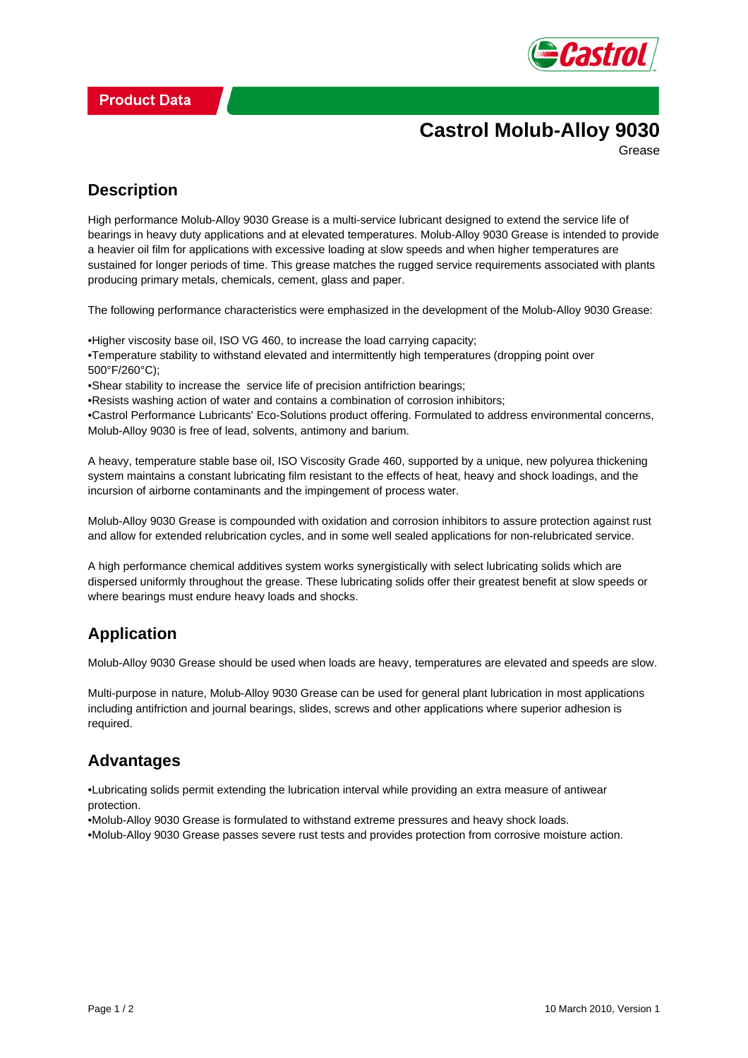

# **Castrol Molub-Alloy 9030**

Grease

## **Description**

High performance Molub-Alloy 9030 Grease is a multi-service lubricant designed to extend the service life of bearings in heavy duty applications and at elevated temperatures. Molub-Alloy 9030 Grease is intended to provide a heavier oil film for applications with excessive loading at slow speeds and when higher temperatures are sustained for longer periods of time. This grease matches the rugged service requirements associated with plants producing primary metals, chemicals, cement, glass and paper.

The following performance characteristics were emphasized in the development of the Molub-Alloy 9030 Grease:

- Higher viscosity base oil, ISO VG 460, to increase the load carrying capacity;
- Temperature stability to withstand elevated and intermittently high temperatures (dropping point over 500°F/260°C);
- Shear stability to increase the service life of precision antifriction bearings:
- • Resists washing action of water and contains a combination of corrosion inhibitors;

• Castrol Performance Lubricants' Eco-Solutions product offering. Formulated to address environmental concerns, Molub-Alloy 9030 is free of lead, solvents, antimony and barium.

A heavy, temperature stable base oil, ISO Viscosity Grade 460, supported by a unique, new polyurea thickening system maintains a constant lubricating film resistant to the effects of heat, heavy and shock loadings, and the incursion of airborne contaminants and the impingement of process water.

Molub-Alloy 9030 Grease is compounded with oxidation and corrosion inhibitors to assure protection against rust and allow for extended relubrication cycles, and in some well sealed applications for non-relubricated service.

A high performance chemical additives system works synergistically with select lubricating solids which are dispersed uniformly throughout the grease. These lubricating solids offer their greatest benefit at slow speeds or where bearings must endure heavy loads and shocks.

### **Application**

Molub-Alloy 9030 Grease should be used when loads are heavy, temperatures are elevated and speeds are slow.

Multi-purpose in nature, Molub-Alloy 9030 Grease can be used for general plant lubrication in most applications including antifriction and journal bearings, slides, screws and other applications where superior adhesion is required.

### **Advantages**

• Lubricating solids permit extending the lubrication interval while providing an extra measure of antiwear protection.

- • Molub-Alloy 9030 Grease is formulated to withstand extreme pressures and heavy shock loads.
- • Molub-Alloy 9030 Grease passes severe rust tests and provides protection from corrosive moisture action.